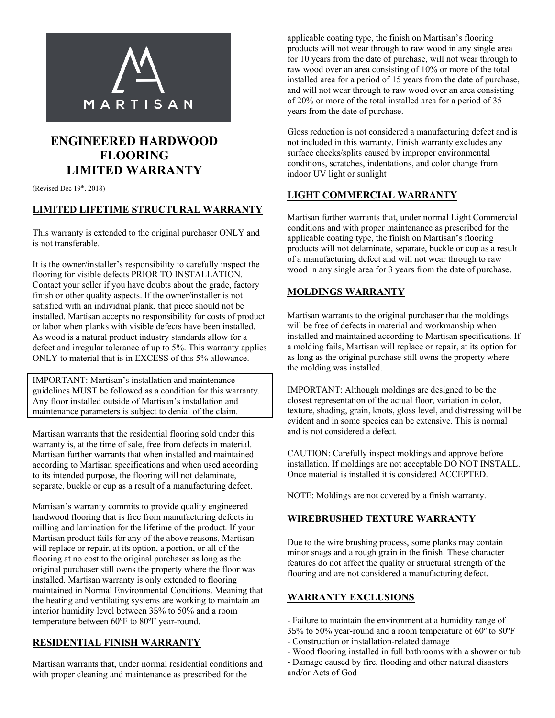

# **ENGINEERED HARDWOOD FLOORING LIMITED WARRANTY**

(Revised Dec  $19<sup>th</sup>$ , 2018)

#### **LIMITED LIFETIME STRUCTURAL WARRANTY**

This warranty is extended to the original purchaser ONLY and is not transferable.

It is the owner/installer's responsibility to carefully inspect the flooring for visible defects PRIOR TO INSTALLATION. Contact your seller if you have doubts about the grade, factory finish or other quality aspects. If the owner/installer is not satisfied with an individual plank, that piece should not be installed. Martisan accepts no responsibility for costs of product or labor when planks with visible defects have been installed. As wood is a natural product industry standards allow for a defect and irregular tolerance of up to 5%. This warranty applies ONLY to material that is in EXCESS of this 5% allowance.

IMPORTANT: Martisan's installation and maintenance guidelines MUST be followed as a condition for this warranty. Any floor installed outside of Martisan's installation and maintenance parameters is subject to denial of the claim.

Martisan warrants that the residential flooring sold under this warranty is, at the time of sale, free from defects in material. Martisan further warrants that when installed and maintained according to Martisan specifications and when used according to its intended purpose, the flooring will not delaminate, separate, buckle or cup as a result of a manufacturing defect.

Martisan's warranty commits to provide quality engineered hardwood flooring that is free from manufacturing defects in milling and lamination for the lifetime of the product. If your Martisan product fails for any of the above reasons, Martisan will replace or repair, at its option, a portion, or all of the flooring at no cost to the original purchaser as long as the original purchaser still owns the property where the floor was installed. Martisan warranty is only extended to flooring maintained in Normal Environmental Conditions. Meaning that the heating and ventilating systems are working to maintain an interior humidity level between 35% to 50% and a room temperature between 60ºF to 80ºF year-round.

## **RESIDENTIAL FINISH WARRANTY**

Martisan warrants that, under normal residential conditions and with proper cleaning and maintenance as prescribed for the

applicable coating type, the finish on Martisan's flooring products will not wear through to raw wood in any single area for 10 years from the date of purchase, will not wear through to raw wood over an area consisting of 10% or more of the total installed area for a period of 15 years from the date of purchase, and will not wear through to raw wood over an area consisting of 20% or more of the total installed area for a period of 35 years from the date of purchase.

Gloss reduction is not considered a manufacturing defect and is not included in this warranty. Finish warranty excludes any surface checks/splits caused by improper environmental conditions, scratches, indentations, and color change from indoor UV light or sunlight

### **LIGHT COMMERCIAL WARRANTY**

Martisan further warrants that, under normal Light Commercial conditions and with proper maintenance as prescribed for the applicable coating type, the finish on Martisan's flooring products will not delaminate, separate, buckle or cup as a result of a manufacturing defect and will not wear through to raw wood in any single area for 3 years from the date of purchase.

#### **MOLDINGS WARRANTY**

Martisan warrants to the original purchaser that the moldings will be free of defects in material and workmanship when installed and maintained according to Martisan specifications. If a molding fails, Martisan will replace or repair, at its option for as long as the original purchase still owns the property where the molding was installed.

IMPORTANT: Although moldings are designed to be the closest representation of the actual floor, variation in color, texture, shading, grain, knots, gloss level, and distressing will be evident and in some species can be extensive. This is normal and is not considered a defect.

CAUTION: Carefully inspect moldings and approve before installation. If moldings are not acceptable DO NOT INSTALL. Once material is installed it is considered ACCEPTED.

NOTE: Moldings are not covered by a finish warranty.

### **WIREBRUSHED TEXTURE WARRANTY**

Due to the wire brushing process, some planks may contain minor snags and a rough grain in the finish. These character features do not affect the quality or structural strength of the flooring and are not considered a manufacturing defect.

#### **WARRANTY EXCLUSIONS**

- Failure to maintain the environment at a humidity range of 35% to 50% year-round and a room temperature of 60º to 80ºF
- Construction or installation-related damage
- Wood flooring installed in full bathrooms with a shower or tub
- Damage caused by fire, flooding and other natural disasters and/or Acts of God